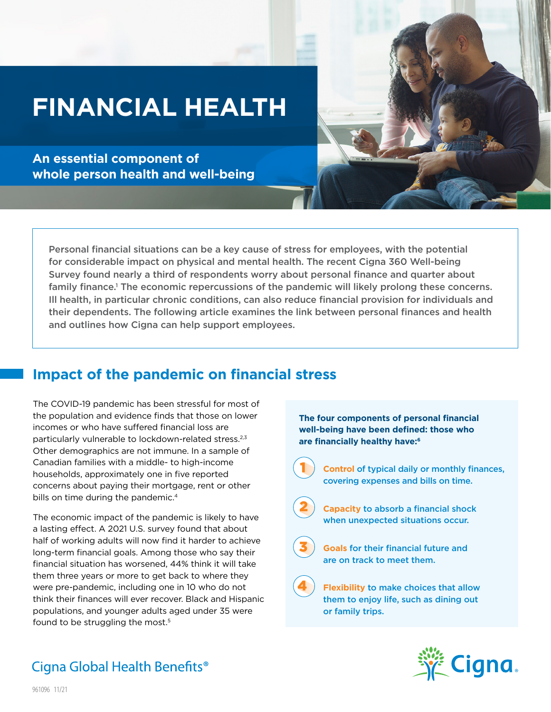# **FINANCIAL HEALTH**

**An essential component of whole person health and well-being**

Personal financial situations can be a key cause of stress for employees, with the potential for considerable impact on physical and mental health. The recent Cigna 360 Well-being Survey found nearly a third of respondents worry about personal finance and quarter about family finance.<sup>1</sup> The economic repercussions of the pandemic will likely prolong these concerns. Ill health, in particular chronic conditions, can also reduce financial provision for individuals and their dependents. The following article examines the link between personal finances and health and outlines how Cigna can help support employees.

### **Impact of the pandemic on financial stress**

The COVID-19 pandemic has been stressful for most of the population and evidence finds that those on lower incomes or who have suffered financial loss are particularly vulnerable to lockdown-related stress.<sup>2,3</sup> Other demographics are not immune. In a sample of Canadian families with a middle- to high-income households, approximately one in five reported concerns about paying their mortgage, rent or other bills on time during the pandemic.<sup>4</sup>

The economic impact of the pandemic is likely to have a lasting effect. A 2021 U.S. survey found that about half of working adults will now find it harder to achieve long-term financial goals. Among those who say their financial situation has worsened, 44% think it will take them three years or more to get back to where they were pre-pandemic, including one in 10 who do not think their finances will ever recover. Black and Hispanic populations, and younger adults aged under 35 were found to be struggling the most.<sup>5</sup>

**The four components of personal financial well-being have been defined: those who are financially healthy have:6**



**Control** of typical daily or monthly finances, covering expenses and bills on time.



**Capacity** to absorb a financial shock when unexpected situations occur.



4

2

**Goals** for their financial future and are on track to meet them.

**Flexibility** to make choices that allow them to enjoy life, such as dining out or family trips.



# Cigna Global Health Benefits<sup>®</sup>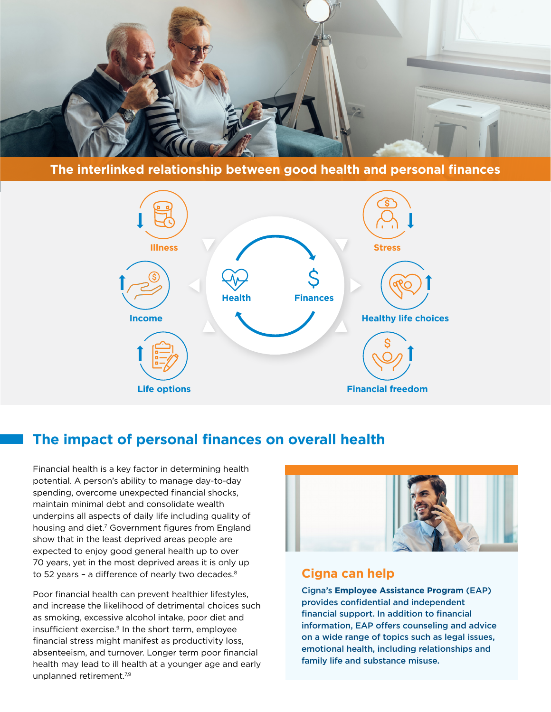

**The interlinked relationship between good health and personal finances**



### **The impact of personal finances on overall health**

Financial health is a key factor in determining health potential. A person's ability to manage day-to-day spending, overcome unexpected financial shocks, maintain minimal debt and consolidate wealth underpins all aspects of daily life including quality of housing and diet.<sup>7</sup> Government figures from England show that in the least deprived areas people are expected to enjoy good general health up to over 70 years, yet in the most deprived areas it is only up to 52 years - a difference of nearly two decades.<sup>8</sup>

Poor financial health can prevent healthier lifestyles, and increase the likelihood of detrimental choices such as smoking, excessive alcohol intake, poor diet and insufficient exercise.<sup>9</sup> In the short term, employee financial stress might manifest as productivity loss, absenteeism, and turnover. Longer term poor financial health may lead to ill health at a younger age and early unplanned retirement.<sup>7,9</sup>



#### **Cigna can help**

Cigna's **Employee Assistance Program** (EAP) provides confidential and independent financial support. In addition to financial information, EAP offers counseling and advice on a wide range of topics such as legal issues, emotional health, including relationships and family life and substance misuse.